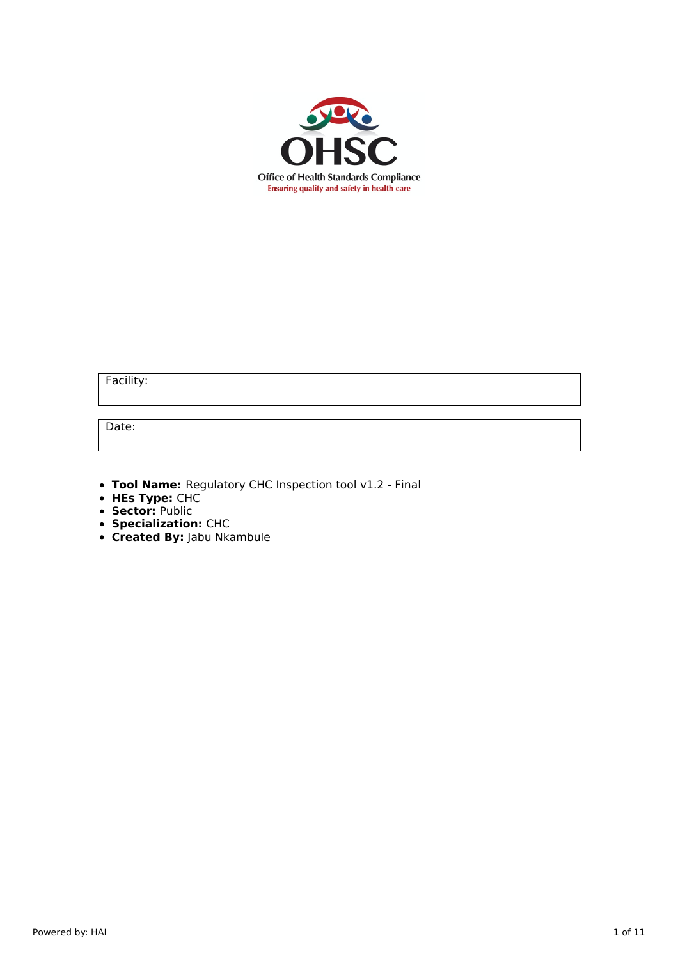

Facility:

Date:

- **Tool Name:** Regulatory CHC Inspection tool v1.2 Final
- **HEs Type:** CHC
- **Sector:** Public
- **Specialization:** CHC
- **Created By:** Jabu Nkambule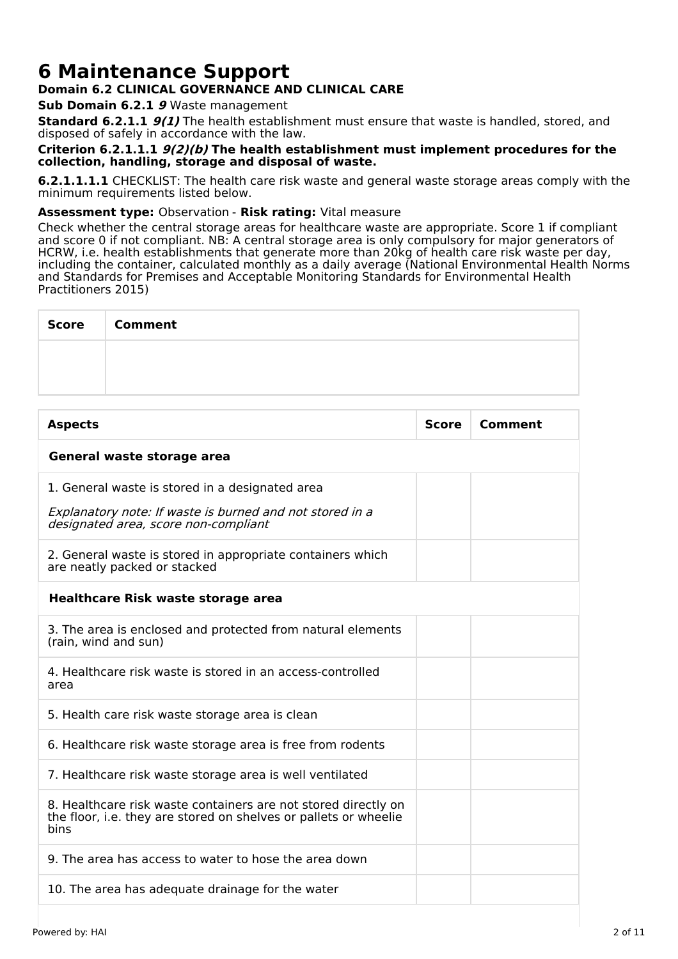# **6 Maintenance Support**

# **Domain 6.2 CLINICAL GOVERNANCE AND CLINICAL CARE**

**Sub Domain 6.2.1 9** Waste management

**Standard 6.2.1.1 9(1)** The health establishment must ensure that waste is handled, stored, and disposed of safely in accordance with the law.

# **Criterion 6.2.1.1.1 9(2)(b) The health establishment must implement procedures for the collection, handling, storage and disposal of waste.**

**6.2.1.1.1.1** CHECKLIST: The health care risk waste and general waste storage areas comply with the minimum requirements listed below.

# **Assessment type:** Observation - **Risk rating:** Vital measure

Check whether the central storage areas for healthcare waste are appropriate. Score 1 if compliant and score 0 if not compliant. NB: A central storage area is only compulsory for major generators of HCRW, i.e. health establishments that generate more than 20kg of health care risk waste per day, including the container, calculated monthly as a daily average (National Environmental Health Norms and Standards for Premises and Acceptable Monitoring Standards for Environmental Health Practitioners 2015)

| Score   Comment |
|-----------------|
|                 |
|                 |

| <b>Aspects</b>                                                                                                                             | <b>Score</b> | Comment |  |
|--------------------------------------------------------------------------------------------------------------------------------------------|--------------|---------|--|
| General waste storage area                                                                                                                 |              |         |  |
| 1. General waste is stored in a designated area                                                                                            |              |         |  |
| Explanatory note: If waste is burned and not stored in a<br>designated area, score non-compliant                                           |              |         |  |
| 2. General waste is stored in appropriate containers which<br>are neatly packed or stacked                                                 |              |         |  |
| <b>Healthcare Risk waste storage area</b>                                                                                                  |              |         |  |
| 3. The area is enclosed and protected from natural elements<br>(rain, wind and sun)                                                        |              |         |  |
| 4. Healthcare risk waste is stored in an access-controlled<br>area                                                                         |              |         |  |
| 5. Health care risk waste storage area is clean                                                                                            |              |         |  |
| 6. Healthcare risk waste storage area is free from rodents                                                                                 |              |         |  |
| 7. Healthcare risk waste storage area is well ventilated                                                                                   |              |         |  |
| 8. Healthcare risk waste containers are not stored directly on<br>the floor, i.e. they are stored on shelves or pallets or wheelie<br>bins |              |         |  |
| 9. The area has access to water to hose the area down                                                                                      |              |         |  |
| 10. The area has adequate drainage for the water                                                                                           |              |         |  |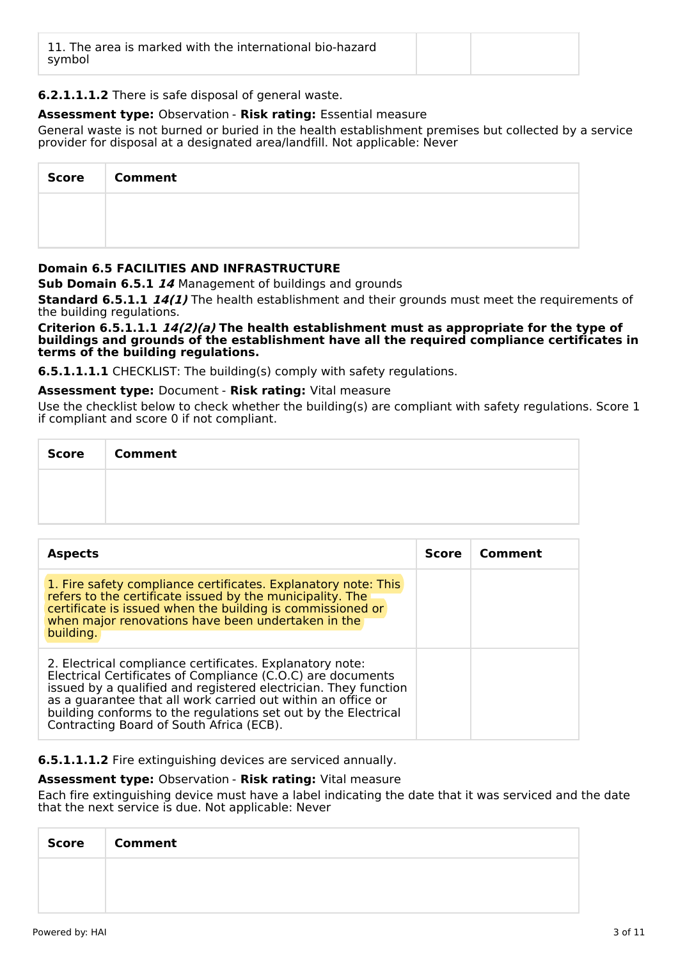| 11. The area is marked with the international bio-hazard<br>symbol |  |  |  |
|--------------------------------------------------------------------|--|--|--|
|--------------------------------------------------------------------|--|--|--|

# **6.2.1.1.1.2** There is safe disposal of general waste.

# **Assessment type:** Observation - **Risk rating:** Essential measure

General waste is not burned or buried in the health establishment premises but collected by a service provider for disposal at a designated area/landfill. Not applicable: Never

| <b>Score</b> | <b>Comment</b> |
|--------------|----------------|
|              |                |
|              |                |

# **Domain 6.5 FACILITIES AND INFRASTRUCTURE**

**Sub Domain 6.5.1 14** Management of buildings and grounds

**Standard 6.5.1.1 14(1)** The health establishment and their grounds must meet the requirements of the building regulations.

**Criterion 6.5.1.1.1 14(2)(a) The health establishment must as appropriate for the type of buildings and grounds of the establishment have all the required compliance certificates in terms of the building regulations.**

**6.5.1.1.1.1** CHECKLIST: The building(s) comply with safety regulations.

# **Assessment type:** Document - **Risk rating:** Vital measure

Use the checklist below to check whether the building(s) are compliant with safety regulations. Score 1 if compliant and score 0 if not compliant.

| Score | <b>Comment</b> |
|-------|----------------|
|       |                |
|       |                |

| <b>Aspects</b>                                                                                                                                                                                                                                                                                                                                                           | <b>Score</b> | Comment |
|--------------------------------------------------------------------------------------------------------------------------------------------------------------------------------------------------------------------------------------------------------------------------------------------------------------------------------------------------------------------------|--------------|---------|
| 1. Fire safety compliance certificates. Explanatory note: This<br>refers to the certificate issued by the municipality. The<br>certificate is issued when the building is commissioned or<br>when major renovations have been undertaken in the<br>building.                                                                                                             |              |         |
| 2. Electrical compliance certificates. Explanatory note:<br>Electrical Certificates of Compliance (C.O.C) are documents<br>issued by a qualified and registered electrician. They function<br>as a guarantee that all work carried out within an office or<br>building conforms to the regulations set out by the Electrical<br>Contracting Board of South Africa (ECB). |              |         |

#### **6.5.1.1.1.2** Fire extinguishing devices are serviced annually.

#### **Assessment type:** Observation - **Risk rating:** Vital measure

Each fire extinguishing device must have a label indicating the date that it was serviced and the date that the next service is due. Not applicable: Never

| <b>Score</b> | <b>Comment</b> |
|--------------|----------------|
|              |                |
|              |                |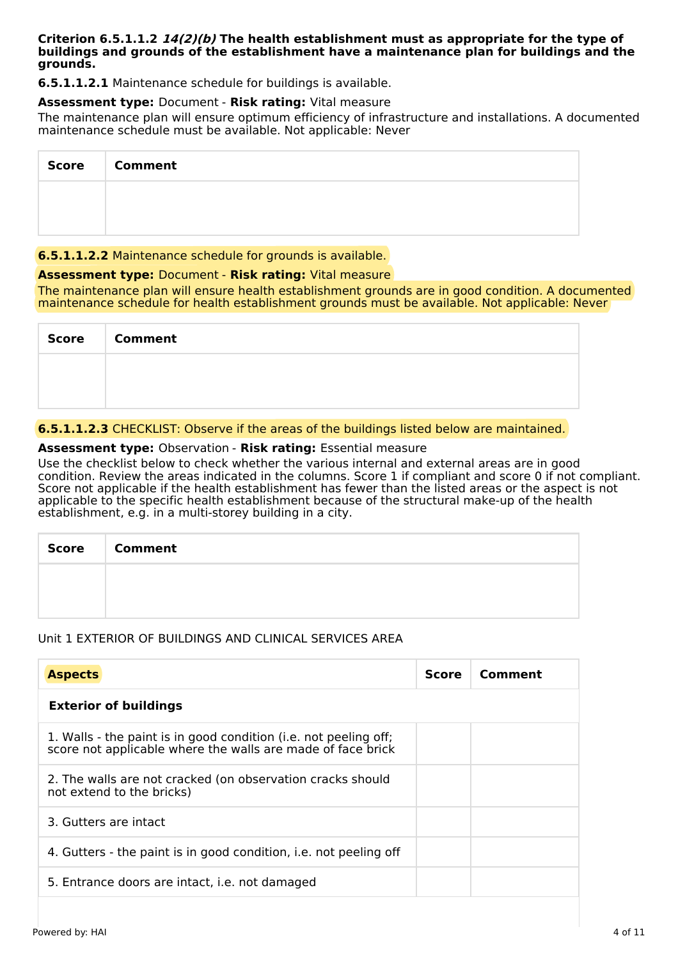#### **Criterion 6.5.1.1.2 14(2)(b) The health establishment must as appropriate for the type of buildings and grounds of the establishment have a maintenance plan for buildings and the grounds.**

**6.5.1.1.2.1** Maintenance schedule for buildings is available.

# **Assessment type:** Document - **Risk rating:** Vital measure

The maintenance plan will ensure optimum efficiency of infrastructure and installations. A documented maintenance schedule must be available. Not applicable: Never

| Score | <b>Comment</b> |
|-------|----------------|
|       |                |
|       |                |

# **6.5.1.1.2.2** Maintenance schedule for grounds is available.

# **Assessment type:** Document - **Risk rating:** Vital measure

The maintenance plan will ensure health establishment grounds are in good condition. A documented maintenance schedule for health establishment grounds must be available. Not applicable: Never

| Score | <b>Comment</b> |
|-------|----------------|
|       |                |
|       |                |

# **6.5.1.1.2.3** CHECKLIST: Observe if the areas of the buildings listed below are maintained.

# **Assessment type:** Observation - **Risk rating:** Essential measure

Use the checklist below to check whether the various internal and external areas are in good condition. Review the areas indicated in the columns. Score 1 if compliant and score 0 if not compliant. Score not applicable if the health establishment has fewer than the listed areas or the aspect is not applicable to the specific health establishment because of the structural make-up of the health establishment, e.g. in a multi-storey building in a city.

| Score   Comment |
|-----------------|
|                 |
|                 |

# Unit 1 EXTERIOR OF BUILDINGS AND CLINICAL SERVICES AREA

| <b>Aspects</b>                                                                                                                  | <b>Score</b> | <b>Comment</b> |
|---------------------------------------------------------------------------------------------------------------------------------|--------------|----------------|
| <b>Exterior of buildings</b>                                                                                                    |              |                |
| 1. Walls - the paint is in good condition (i.e. not peeling off;<br>score not applicable where the walls are made of face brick |              |                |
| 2. The walls are not cracked (on observation cracks should<br>not extend to the bricks)                                         |              |                |
| 3. Gutters are intact                                                                                                           |              |                |
| 4. Gutters - the paint is in good condition, i.e. not peeling off                                                               |              |                |
| 5. Entrance doors are intact, i.e. not damaged                                                                                  |              |                |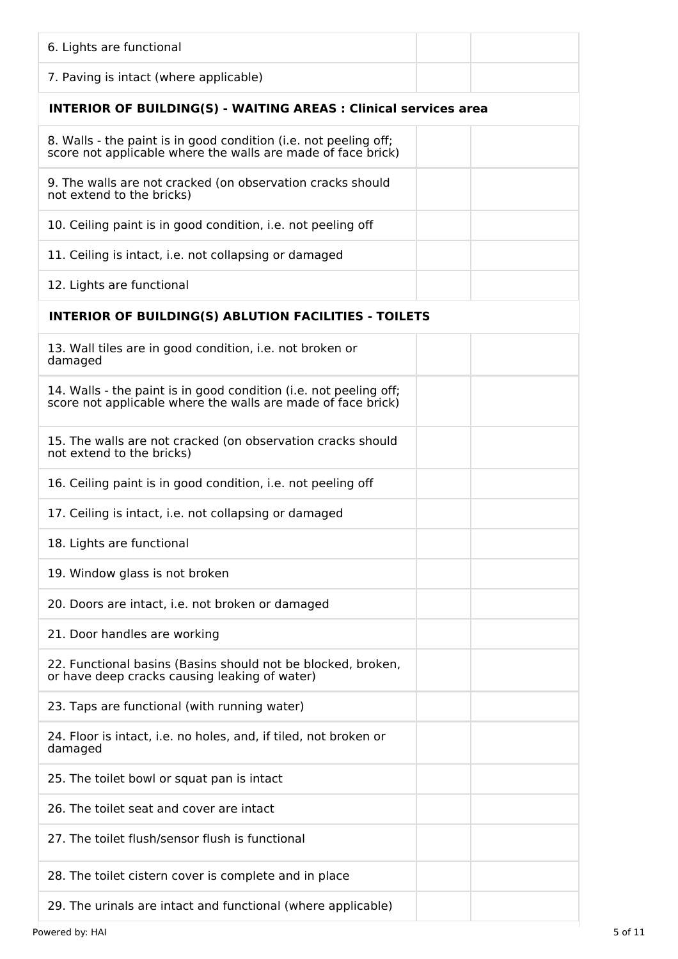| 6. Lights are functional                                                                                                          |
|-----------------------------------------------------------------------------------------------------------------------------------|
| 7. Paving is intact (where applicable)                                                                                            |
| <b>INTERIOR OF BUILDING(S) - WAITING AREAS : Clinical services area</b>                                                           |
| 8. Walls - the paint is in good condition (i.e. not peeling off;<br>score not applicable where the walls are made of face brick)  |
| 9. The walls are not cracked (on observation cracks should<br>not extend to the bricks)                                           |
| 10. Ceiling paint is in good condition, i.e. not peeling off                                                                      |
| 11. Ceiling is intact, i.e. not collapsing or damaged                                                                             |
| 12. Lights are functional                                                                                                         |
| <b>INTERIOR OF BUILDING(S) ABLUTION FACILITIES - TOILETS</b>                                                                      |
| 13. Wall tiles are in good condition, i.e. not broken or<br>damaged                                                               |
| 14. Walls - the paint is in good condition (i.e. not peeling off;<br>score not applicable where the walls are made of face brick) |
| 15. The walls are not cracked (on observation cracks should<br>not extend to the bricks)                                          |
| 16. Ceiling paint is in good condition, i.e. not peeling off                                                                      |
| 17. Ceiling is intact, i.e. not collapsing or damaged                                                                             |
| 18. Lights are functional                                                                                                         |
| 19. Window glass is not broken                                                                                                    |
| 20. Doors are intact, i.e. not broken or damaged                                                                                  |
| 21. Door handles are working                                                                                                      |
| 22. Functional basins (Basins should not be blocked, broken,<br>or have deep cracks causing leaking of water)                     |
| 23. Taps are functional (with running water)                                                                                      |
| 24. Floor is intact, i.e. no holes, and, if tiled, not broken or<br>damaged                                                       |
| 25. The toilet bowl or squat pan is intact                                                                                        |
| 26. The toilet seat and cover are intact                                                                                          |
| 27. The toilet flush/sensor flush is functional                                                                                   |
| 28. The toilet cistern cover is complete and in place                                                                             |
| 29. The urinals are intact and functional (where applicable)                                                                      |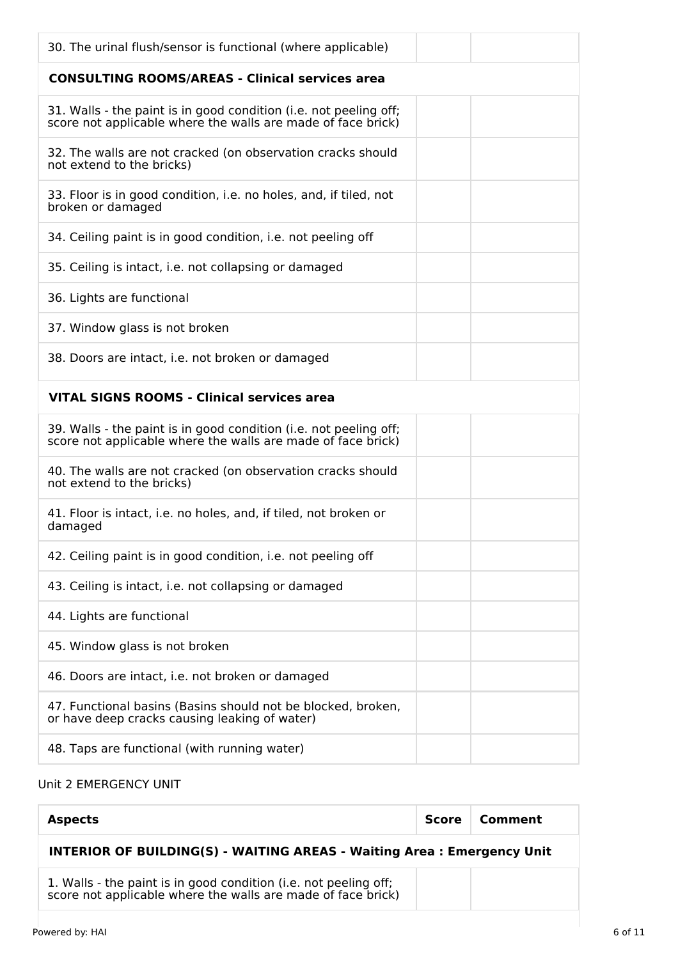| 30. The urinal flush/sensor is functional (where applicable)                                                                      |  |
|-----------------------------------------------------------------------------------------------------------------------------------|--|
| <b>CONSULTING ROOMS/AREAS - Clinical services area</b>                                                                            |  |
| 31. Walls - the paint is in good condition (i.e. not peeling off;<br>score not applicable where the walls are made of face brick) |  |
| 32. The walls are not cracked (on observation cracks should<br>not extend to the bricks)                                          |  |
| 33. Floor is in good condition, i.e. no holes, and, if tiled, not<br>broken or damaged                                            |  |
| 34. Ceiling paint is in good condition, i.e. not peeling off                                                                      |  |
| 35. Ceiling is intact, i.e. not collapsing or damaged                                                                             |  |
| 36. Lights are functional                                                                                                         |  |
| 37. Window glass is not broken                                                                                                    |  |
| 38. Doors are intact, i.e. not broken or damaged                                                                                  |  |
| <b>VITAL SIGNS ROOMS - Clinical services area</b>                                                                                 |  |
| 39. Walls - the paint is in good condition (i.e. not peeling off;<br>score not applicable where the walls are made of face brick) |  |
| 40. The walls are not cracked (on observation cracks should<br>not extend to the bricks)                                          |  |
| 41. Floor is intact, i.e. no holes, and, if tiled, not broken or<br>damaged                                                       |  |
| 42. Ceiling paint is in good condition, i.e. not peeling off                                                                      |  |
| 43. Ceiling is intact, i.e. not collapsing or damaged                                                                             |  |
| 44. Lights are functional                                                                                                         |  |
| 45. Window glass is not broken                                                                                                    |  |
| 46. Doors are intact, i.e. not broken or damaged                                                                                  |  |
| 47. Functional basins (Basins should not be blocked, broken,<br>or have deep cracks causing leaking of water)                     |  |
| 48. Taps are functional (with running water)                                                                                      |  |
|                                                                                                                                   |  |

# Unit 2 EMERGENCY UNIT

| <b>Aspects</b>                                                                                                                   | <b>Score</b> | Comment |
|----------------------------------------------------------------------------------------------------------------------------------|--------------|---------|
| <b>INTERIOR OF BUILDING(S) - WAITING AREAS - Waiting Area: Emergency Unit</b>                                                    |              |         |
| 1. Walls - the paint is in good condition (i.e. not peeling off;<br>score not applicable where the walls are made of face brick) |              |         |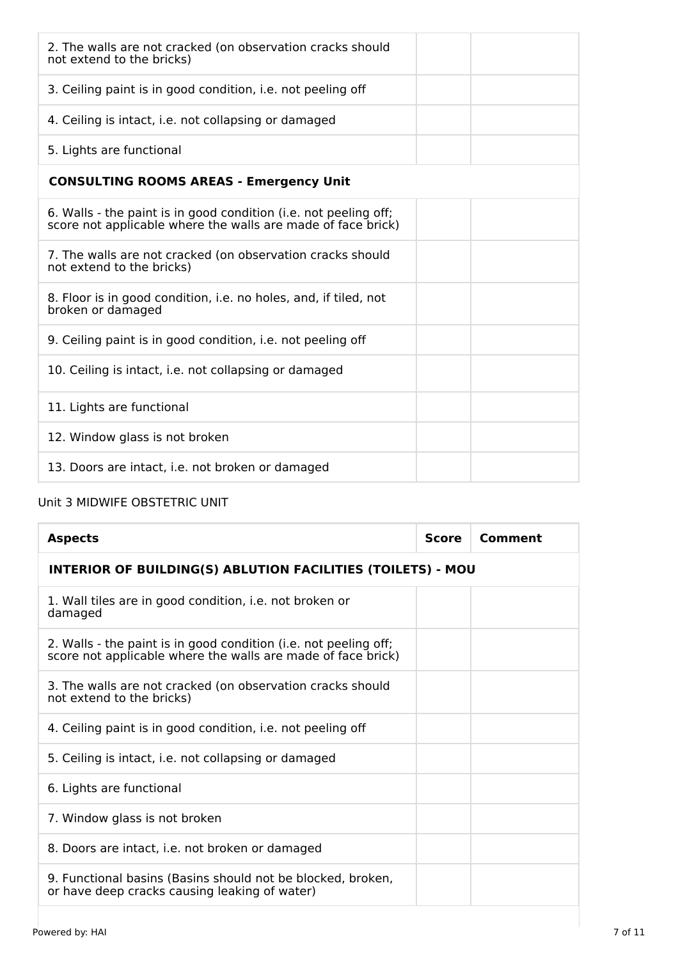| 2. The walls are not cracked (on observation cracks should<br>not extend to the bricks)                                          |
|----------------------------------------------------------------------------------------------------------------------------------|
| 3. Ceiling paint is in good condition, i.e. not peeling off                                                                      |
| 4. Ceiling is intact, i.e. not collapsing or damaged                                                                             |
| 5. Lights are functional                                                                                                         |
| <b>CONSULTING ROOMS AREAS - Emergency Unit</b>                                                                                   |
| 6. Walls - the paint is in good condition (i.e. not peeling off;<br>score not applicable where the walls are made of face brick) |
| 7. The walls are not cracked (on observation cracks should<br>not extend to the bricks)                                          |
| 8. Floor is in good condition, i.e. no holes, and, if tiled, not<br>broken or damaged                                            |
| 9. Ceiling paint is in good condition, i.e. not peeling off                                                                      |
| 10. Ceiling is intact, i.e. not collapsing or damaged                                                                            |
| 11. Lights are functional                                                                                                        |
| 12. Window glass is not broken                                                                                                   |
| 13. Doors are intact, i.e. not broken or damaged                                                                                 |

# Unit 3 MIDWIFE OBSTETRIC UNIT

| <b>Aspects</b>                                                                                                                   | Score | Comment |
|----------------------------------------------------------------------------------------------------------------------------------|-------|---------|
| <b>INTERIOR OF BUILDING(S) ABLUTION FACILITIES (TOILETS) - MOU</b>                                                               |       |         |
| 1. Wall tiles are in good condition, i.e. not broken or<br>damaged                                                               |       |         |
| 2. Walls - the paint is in good condition (i.e. not peeling off;<br>score not applicable where the walls are made of face brick) |       |         |
| 3. The walls are not cracked (on observation cracks should<br>not extend to the bricks)                                          |       |         |
| 4. Ceiling paint is in good condition, i.e. not peeling off                                                                      |       |         |
| 5. Ceiling is intact, i.e. not collapsing or damaged                                                                             |       |         |
| 6. Lights are functional                                                                                                         |       |         |
| 7. Window glass is not broken                                                                                                    |       |         |
| 8. Doors are intact, i.e. not broken or damaged                                                                                  |       |         |
| 9. Functional basins (Basins should not be blocked, broken,<br>or have deep cracks causing leaking of water)                     |       |         |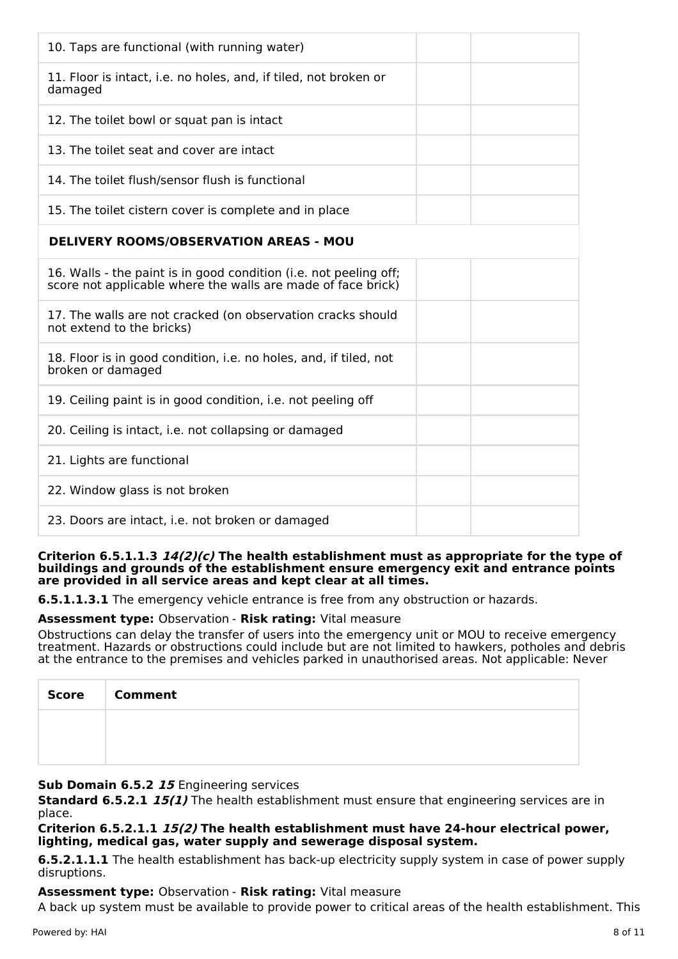| 10. Taps are functional (with running water)                                                                                      |
|-----------------------------------------------------------------------------------------------------------------------------------|
| 11. Floor is intact, i.e. no holes, and, if tiled, not broken or<br>damaged                                                       |
| 12. The toilet bowl or squat pan is intact                                                                                        |
| 13. The toilet seat and cover are intact                                                                                          |
| 14. The toilet flush/sensor flush is functional                                                                                   |
| 15. The toilet cistern cover is complete and in place                                                                             |
| <b>DELIVERY ROOMS/OBSERVATION AREAS - MOU</b>                                                                                     |
| 16. Walls - the paint is in good condition (i.e. not peeling off;<br>score not applicable where the walls are made of face brick) |
| 17. The walls are not cracked (on observation cracks should<br>not extend to the bricks)                                          |
| 18. Floor is in good condition, i.e. no holes, and, if tiled, not<br>broken or damaged                                            |
| 19. Ceiling paint is in good condition, i.e. not peeling off                                                                      |
| 20. Ceiling is intact, i.e. not collapsing or damaged                                                                             |
| 21. Lights are functional                                                                                                         |
| 22. Window glass is not broken                                                                                                    |
| 23. Doors are intact, i.e. not broken or damaged                                                                                  |

#### **Criterion 6.5.1.1.3 14(2)(c) The health establishment must as appropriate for the type of buildings and grounds of the establishment ensure emergency exit and entrance points are provided in all service areas and kept clear at all times.**

**6.5.1.1.3.1** The emergency vehicle entrance is free from any obstruction or hazards.

# **Assessment type:** Observation - **Risk rating:** Vital measure

Obstructions can delay the transfer of users into the emergency unit or MOU to receive emergency treatment. Hazards or obstructions could include but are not limited to hawkers, potholes and debris at the entrance to the premises and vehicles parked in unauthorised areas. Not applicable: Never

| Score Comment |
|---------------|
|               |
|               |

# **Sub Domain 6.5.2 15** Engineering services

**Standard 6.5.2.1 15(1)** The health establishment must ensure that engineering services are in place.

# **Criterion 6.5.2.1.1 15(2) The health establishment must have 24-hour electrical power, lighting, medical gas, water supply and sewerage disposal system.**

**6.5.2.1.1.1** The health establishment has back-up electricity supply system in case of power supply disruptions.

# **Assessment type:** Observation - **Risk rating:** Vital measure

A back up system must be available to provide power to critical areas of the health establishment. This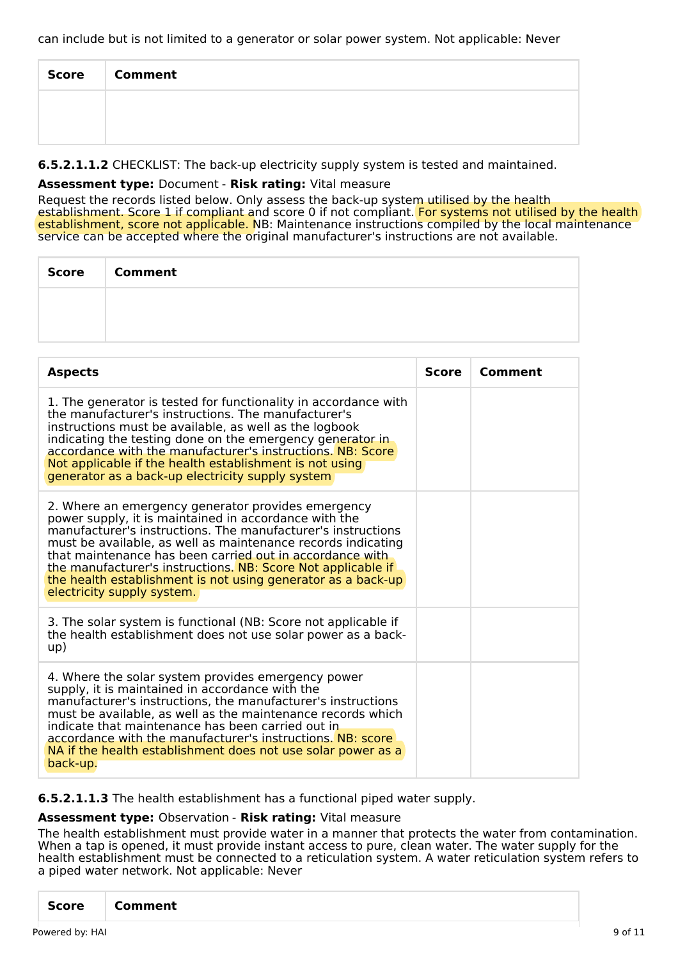can include but is not limited to a generator or solar power system. Not applicable: Never

| Score   Comment |
|-----------------|
|                 |
|                 |

**6.5.2.1.1.2** CHECKLIST: The back-up electricity supply system is tested and maintained.

# **Assessment type:** Document - **Risk rating:** Vital measure

Request the records listed below. Only assess the back-up system utilised by the health establishment. Score 1 if compliant and score 0 if not compliant. For systems not utilised by the health establishment, score not applicable. NB: Maintenance instructions compiled by the local maintenance service can be accepted where the original manufacturer's instructions are not available.

| Score | <b>Comment</b> |
|-------|----------------|
|       |                |
|       |                |

| <b>Aspects</b>                                                                                                                                                                                                                                                                                                                                                                                                                                                        | <b>Score</b> | Comment |
|-----------------------------------------------------------------------------------------------------------------------------------------------------------------------------------------------------------------------------------------------------------------------------------------------------------------------------------------------------------------------------------------------------------------------------------------------------------------------|--------------|---------|
| 1. The generator is tested for functionality in accordance with<br>the manufacturer's instructions. The manufacturer's<br>instructions must be available, as well as the logbook<br>indicating the testing done on the emergency generator in<br>accordance with the manufacturer's instructions. NB: Score<br>Not applicable if the health establishment is not using<br>generator as a back-up electricity supply system                                            |              |         |
| 2. Where an emergency generator provides emergency<br>power supply, it is maintained in accordance with the<br>manufacturer's instructions. The manufacturer's instructions<br>must be available, as well as maintenance records indicating<br>that maintenance has been carried out in accordance with<br>the manufacturer's instructions. NB: Score Not applicable if<br>the health establishment is not using generator as a back-up<br>electricity supply system. |              |         |
| 3. The solar system is functional (NB: Score not applicable if<br>the health establishment does not use solar power as a back-<br>up)                                                                                                                                                                                                                                                                                                                                 |              |         |
| 4. Where the solar system provides emergency power<br>supply, it is maintained in accordance with the<br>manufacturer's instructions, the manufacturer's instructions<br>must be available, as well as the maintenance records which<br>indicate that maintenance has been carried out in<br>accordance with the manufacturer's instructions. NB: score<br>NA if the health establishment does not use solar power as a<br>back-up.                                   |              |         |

**6.5.2.1.1.3** The health establishment has a functional piped water supply.

#### **Assessment type:** Observation - **Risk rating:** Vital measure

The health establishment must provide water in a manner that protects the water from contamination. When a tap is opened, it must provide instant access to pure, clean water. The water supply for the health establishment must be connected to a reticulation system. A water reticulation system refers to a piped water network. Not applicable: Never

|--|--|--|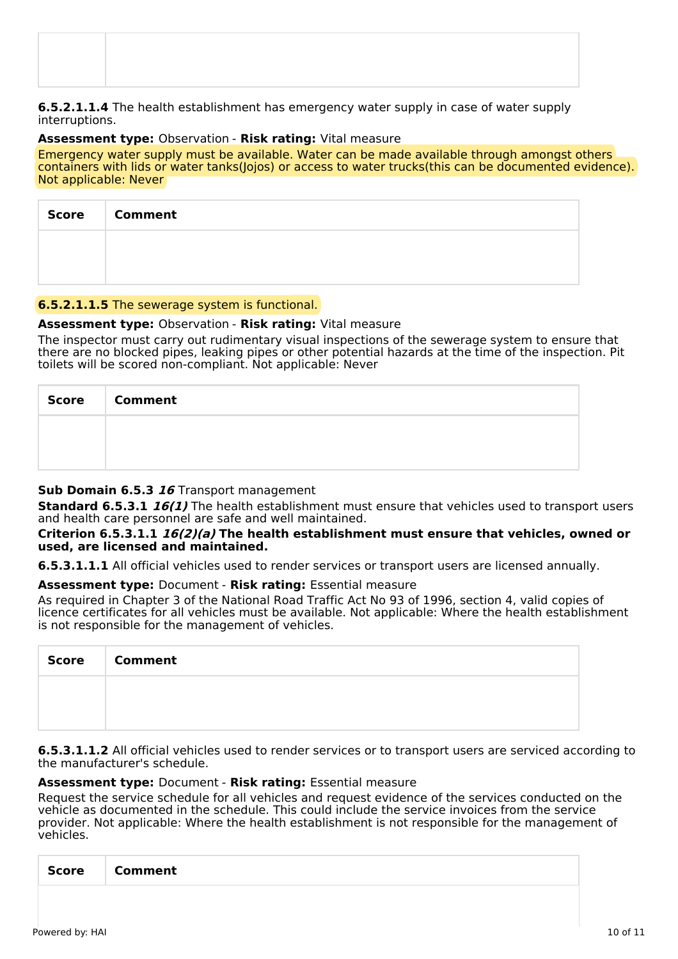#### **6.5.2.1.1.4** The health establishment has emergency water supply in case of water supply interruptions.

#### **Assessment type:** Observation - **Risk rating:** Vital measure

Emergency water supply must be available. Water can be made available through amongst others containers with lids or water tanks(Jojos) or access to water trucks(this can be documented evidence). Not applicable: Never

| Score Comment |
|---------------|
|               |
|               |

# **6.5.2.1.1.5** The sewerage system is functional.

# **Assessment type:** Observation - **Risk rating:** Vital measure

The inspector must carry out rudimentary visual inspections of the sewerage system to ensure that there are no blocked pipes, leaking pipes or other potential hazards at the time of the inspection. Pit toilets will be scored non-compliant. Not applicable: Never

| <b>Score</b> | <b>Comment</b> |
|--------------|----------------|
|              |                |
|              |                |

# **Sub Domain 6.5.3 16** Transport management

**Standard 6.5.3.1 16(1)** The health establishment must ensure that vehicles used to transport users and health care personnel are safe and well maintained.

#### **Criterion 6.5.3.1.1 16(2)(a) The health establishment must ensure that vehicles, owned or used, are licensed and maintained.**

**6.5.3.1.1.1** All official vehicles used to render services or transport users are licensed annually.

# **Assessment type:** Document - **Risk rating:** Essential measure

As required in Chapter 3 of the National Road Traffic Act No 93 of 1996, section 4, valid copies of licence certificates for all vehicles must be available. Not applicable: Where the health establishment is not responsible for the management of vehicles.

| Score | <b>Comment</b> |
|-------|----------------|
|       |                |
|       |                |

**6.5.3.1.1.2** All official vehicles used to render services or to transport users are serviced according to the manufacturer's schedule.

# **Assessment type:** Document - **Risk rating:** Essential measure

Request the service schedule for all vehicles and request evidence of the services conducted on the vehicle as documented in the schedule. This could include the service invoices from the service provider. Not applicable: Where the health establishment is not responsible for the management of vehicles.

| <b>Score</b> | <b>Comment</b> |  |  |
|--------------|----------------|--|--|
|              |                |  |  |